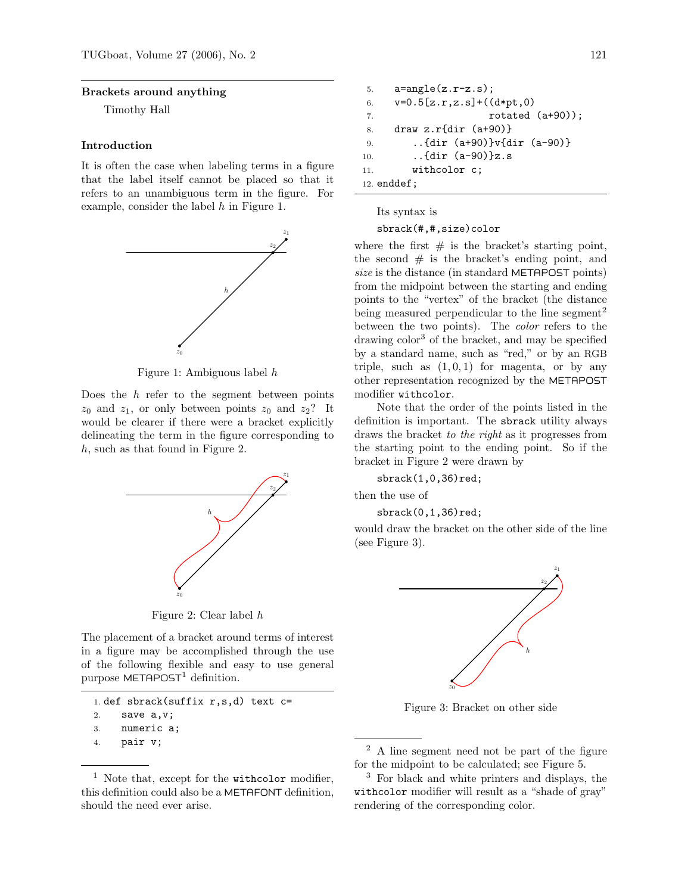### Brackets around anything

Timothy Hall

# Introduction

It is often the case when labeling terms in a figure that the label itself cannot be placed so that it refers to an unambiguous term in the figure. For example, consider the label h in Figure 1.



Figure 1: Ambiguous label h

Does the  $h$  refer to the segment between points  $z_0$  and  $z_1$ , or only between points  $z_0$  and  $z_2$ ? It would be clearer if there were a bracket explicitly delineating the term in the figure corresponding to h, such as that found in Figure 2.



Figure 2: Clear label h

The placement of a bracket around terms of interest in a figure may be accomplished through the use of the following flexible and easy to use general purpose  $METAPOST<sup>1</sup>$  definition.

```
1. def sbrack(suffix r,s,d) text c=
2. save a,v;
3. numeric a;
4. pair v;
```

```
5. a = angle(z.r-z.s);6. v=0.5[z,r,z.s]+((d*pt,0))7. rotated (a+90));
8. draw z.r{dir (a+90)}
9. ..{dir (a+90)}v{dir (a-90)}
10. ..{dir (a-90)}z.s
11. withcolor c;
12. enddef;
```
Its syntax is

#### sbrack(#,#,size)color

where the first  $\#$  is the bracket's starting point, the second  $#$  is the bracket's ending point, and size is the distance (in standard METAPOST points) from the midpoint between the starting and ending points to the "vertex" of the bracket (the distance being measured perpendicular to the line segment<sup>2</sup> between the two points). The color refers to the drawing color<sup>3</sup> of the bracket, and may be specified by a standard name, such as "red," or by an RGB triple, such as  $(1, 0, 1)$  for magenta, or by any other representation recognized by the METAPOST modifier withcolor.

Note that the order of the points listed in the definition is important. The sbrack utility always draws the bracket to the right as it progresses from the starting point to the ending point. So if the bracket in Figure 2 were drawn by

sbrack(1,0,36)red;

then the use of

sbrack(0,1,36)red;

would draw the bracket on the other side of the line (see Figure 3).



Figure 3: Bracket on other side

<sup>2</sup> A line segment need not be part of the figure for the midpoint to be calculated; see Figure 5.

<sup>&</sup>lt;sup>1</sup> Note that, except for the withcolor modifier, this definition could also be a METAFONT definition, should the need ever arise.

<sup>3</sup> For black and white printers and displays, the withcolor modifier will result as a "shade of gray" rendering of the corresponding color.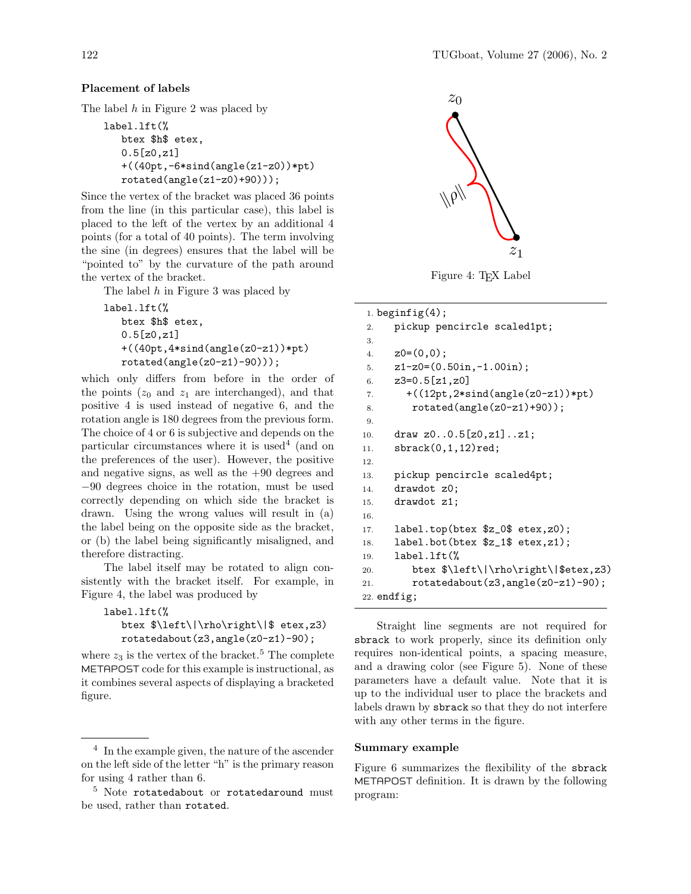# Placement of labels

The label h in Figure 2 was placed by

```
label.lft(%
  btex $h$ etex,
   0.5[z0,z1]
   +((40pt,-6*sind(angle(z1-z0))*pt)
  rotated(angle(z1-z0)+90)));
```
Since the vertex of the bracket was placed 36 points from the line (in this particular case), this label is placed to the left of the vertex by an additional 4 points (for a total of 40 points). The term involving the sine (in degrees) ensures that the label will be "pointed to" by the curvature of the path around the vertex of the bracket.

The label  $h$  in Figure 3 was placed by

```
label.lft(%
  btex $h$ etex,
   0.5[z0,z1]
   +((40pt,4*sind(angle(z0-z1))*pt)
  rotated(angle(z0-z1)-90)));
```
which only differs from before in the order of the points  $(z_0 \text{ and } z_1 \text{ are interchanged})$ , and that positive 4 is used instead of negative 6, and the rotation angle is 180 degrees from the previous form. The choice of 4 or 6 is subjective and depends on the particular circumstances where it is used<sup>4</sup> (and on the preferences of the user). However, the positive and negative signs, as well as the  $+90$  degrees and −90 degrees choice in the rotation, must be used correctly depending on which side the bracket is drawn. Using the wrong values will result in (a) the label being on the opposite side as the bracket, or (b) the label being significantly misaligned, and therefore distracting.

The label itself may be rotated to align consistently with the bracket itself. For example, in Figure 4, the label was produced by

```
label.lft(%
  btex $\left\|\rho\right\|$ etex,z3)
  rotatedabout(z3,angle(z0-z1)-90);
```
where  $z_3$  is the vertex of the bracket.<sup>5</sup> The complete METAPOST code for this example is instructional, as it combines several aspects of displaying a bracketed figure.



Figure 4: T<sub>F</sub>X Label

```
1. beginfig(4);
2. pickup pencircle scaled1pt;
3.
4. z0=(0,0);5. z1-z0=(0.50in,-1.00in);6. z3=0.5[z1,z0]7. +((12pt,2*sind(angle(z0-z1))*pt)8. rotated(angle(z0-z1)+90));
9.
10. draw z0..0.5[z0,z1]..z1;
11. sbrack(0,1,12)red;
12.
13. pickup pencircle scaled4pt;
14. drawdot z0;
15. drawdot z1;
16.
17. label.top(btex $z_0$ etex,z0);
18. label.bot(btex $z_1$ etex, z1);
19. label.lft(%
20. btex \left\{\Vert\rho\Vert\right\} btex \left\{\Vert\phi\Vert\right\}21. rotatedabout(z3,angle(z0-z1)-90);
22. endfig;
```
Straight line segments are not required for sbrack to work properly, since its definition only requires non-identical points, a spacing measure, and a drawing color (see Figure 5). None of these parameters have a default value. Note that it is up to the individual user to place the brackets and labels drawn by sbrack so that they do not interfere with any other terms in the figure.

#### Summary example

Figure 6 summarizes the flexibility of the sbrack METAPOST definition. It is drawn by the following program:

<sup>4</sup> In the example given, the nature of the ascender on the left side of the letter "h" is the primary reason for using 4 rather than 6.

<sup>&</sup>lt;sup>5</sup> Note rotatedabout or rotatedaround must be used, rather than rotated.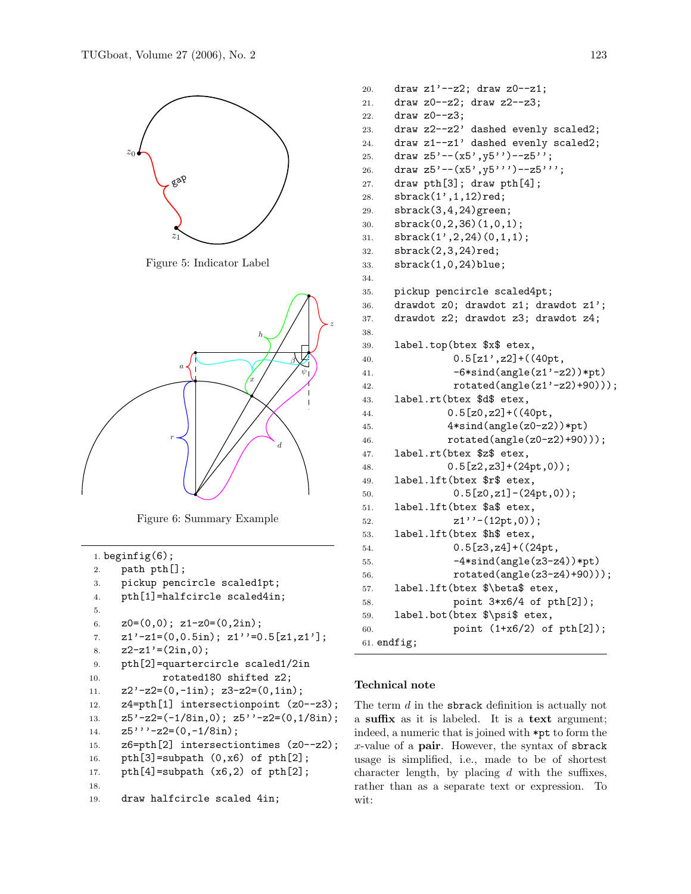

Figure 5: Indicator Label



Figure 6: Summary Example

```
1. beginfig(6);
2. path pth[];
3. pickup pencircle scaled1pt;
4. pth[1]=halfcircle scaled4in;
5.
6. Z0=(0,0); Z1-z0=(0,2in);7. z1'-z1=(0,0.5in); z1'=-0.5[z1,z1'];8. z2-z1'=(2in,0);9. pth[2]=quartercircle scaled1/2in
10. rotated180 shifted z2;
11. z2'-z2=(0,-1in); z3-z2=(0,1in);12. z4=pth[1] intersectionpoint (z0--z3);
13. z5'-z2=(-1/8in,0); z5''-z2=(0,1/8in);14. z5'' - z2 = (0, -1/8in);
15. z6=pth[2] intersectiontimes (z0--z2);
16. pth[3]=subpath (0,x6) of pth[2];
17. pth[4]=subpath (x6,2) of pth[2];
18.
19. draw halfcircle scaled 4in;
```

```
20. draw z1' --z2; draw z0--z1;
21. draw z0--z2; draw z2--z3;
22. draw z0--z3;
23. draw z2--z2' dashed evenly scaled2;
24. draw z1--z1' dashed evenly scaled2;
25. draw z5' --(x5', y5'') --z5';
26. draw z5' --(x5', y5'') --z5''';
27. draw pth[3]; draw pth[4];
28. sbrack(1',1,12)red;
29. sbrack(3,4,24)green;
30. sbrack(0,2,36)(1,0,1);
31. sbrack(1',2,24)(0,1,1);
32. sbrack(2,3,24)red;
33. sbrack(1,0,24)blue;
34.
35. pickup pencircle scaled4pt;
36. drawdot z0; drawdot z1; drawdot z1';
37. drawdot z2; drawdot z3; drawdot z4;
38.
39. label.top(btex $x$ etex,
40. 0.5[z1', z2] + ((40pt,41. -6* \sin d(\text{angle}(z1'-z2))*pt)42. rotated(angle(z1'-z2)+90)));
43. label.rt(btex $d$ etex,
44. 0.5[z0, z2] + ((40pt,45. 4* \sin d(\text{angle}(z0-z2))*pt46. rotated(angle(z0-z2)+90)));
47. label.rt(btex $z$ etex,
48. 0.5[z2,z3]+(24pt,0));49. label.lft(btex $r$ etex,
50. 0.5[z0, z1] - (24pt, 0));51. label.lft(btex $a$ etex,
52. z1'' - (12pt,0));
53. label.lft(btex $h$ etex,
54. 0.5[z3,z4]+((24pt,55. -4*sind(angle(z3-z4))*pt)
56. rotated(angle(z3-z4)+90)));
57. label.lft(btex $\beta$ etex,
58. point 3*x6/4 of pth[2]);
59. label.bot(btex $\psi$ etex,
60. point (1+x6/2) of pth[2]);
61. endfig;
```
# Technical note

The term  $d$  in the sbrack definition is actually not a suffix as it is labeled. It is a text argument; indeed, a numeric that is joined with \*pt to form the  $x$ -value of a pair. However, the syntax of sbrack usage is simplified, i.e., made to be of shortest character length, by placing  $d$  with the suffixes, rather than as a separate text or expression. To wit: